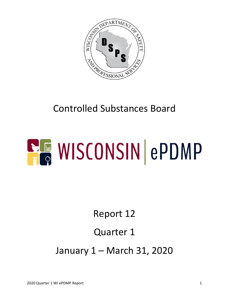

## Controlled Substances Board

# **ELE WISCONSIN ePDMP**

## Report 12

#### Quarter 1

January 1 – March 31, 2020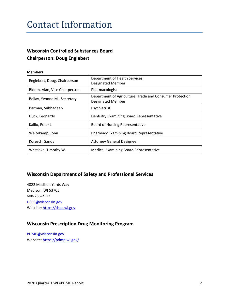#### Contact Information

#### **Wisconsin Controlled Substances Board Chairperson: Doug Englebert**

#### **Members:**

| Englebert, Doug, Chairperson  | Department of Health Services<br><b>Designated Member</b>                            |  |  |
|-------------------------------|--------------------------------------------------------------------------------------|--|--|
| Bloom, Alan, Vice Chairperson | Pharmacologist                                                                       |  |  |
| Bellay, Yvonne M., Secretary  | Department of Agriculture, Trade and Consumer Protection<br><b>Designated Member</b> |  |  |
| Barman, Subhadeep             | Psychiatrist                                                                         |  |  |
| Huck, Leonardo                | Dentistry Examining Board Representative                                             |  |  |
| Kallio, Peter J.              | Board of Nursing Representative                                                      |  |  |
| Weitekamp, John               | <b>Pharmacy Examining Board Representative</b>                                       |  |  |
| Koresch, Sandy                | <b>Attorney General Designee</b>                                                     |  |  |
| Westlake, Timothy W.          | <b>Medical Examining Board Representative</b>                                        |  |  |

#### **Wisconsin Department of Safety and Professional Services**

4822 Madison Yards Way Madison, WI 53705 608-266-2112 [DSPS@wisconsin.gov](mailto:DSPS@wisconsin.gov) Website: [https://dsps.wi.gov](https://dsps.wi.gov/)

#### **Wisconsin Prescription Drug Monitoring Program**

[PDMP@wisconsin.gov](mailto:PDMP@wisconsin.gov) Website:<https://pdmp.wi.gov/>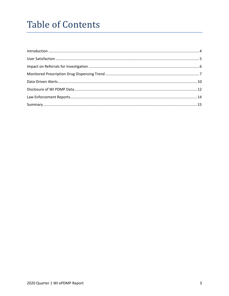## **Table of Contents**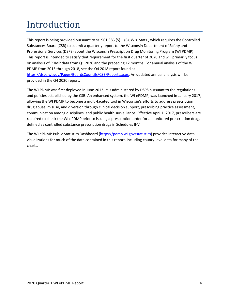# <span id="page-3-0"></span>Introduction

This report is being provided pursuant to ss.  $961.385(5) - (6)$ , Wis. Stats., which requires the Controlled Substances Board (CSB) to submit a quarterly report to the Wisconsin Department of Safety and Professional Services (DSPS) about the Wisconsin Prescription Drug Monitoring Program (WI PDMP). This report is intended to satisfy that requirement for the first quarter of 2020 and will primarily focus on analysis of PDMP data from Q1 2020 and the preceding 12 months. For annual analysis of the WI PDMP from 2015 through 2018, see the Q4 2018 report found at [https://dsps.wi.gov/Pages/BoardsCouncils/CSB/Reports.aspx.](https://dsps.wi.gov/Pages/BoardsCouncils/CSB/Reports.aspx) An updated annual analysis will be

provided in the Q4 2020 report.

The WI PDMP was first deployed in June 2013. It is administered by DSPS pursuant to the regulations and policies established by the CSB. An enhanced system, the WI ePDMP, was launched in January 2017, allowing the WI PDMP to become a multi-faceted tool in Wisconsin's efforts to address prescription drug abuse, misuse, and diversion through clinical decision support, prescribing practice assessment, communication among disciplines, and public health surveillance. Effective April 1, 2017, prescribers are required to check the WI ePDMP prior to issuing a prescription order for a monitored prescription drug, defined as controlled substance prescription drugs in Schedules II-V.

The WI ePDMP Public Statistics Dashboard [\(https://pdmp.wi.gov/statistics\)](https://pdmp.wi.gov/statistics) provides interactive data visualizations for much of the data contained in this report, including county-level data for many of the charts.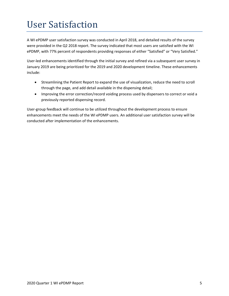## <span id="page-4-0"></span>User Satisfaction

A WI ePDMP user satisfaction survey was conducted in April 2018, and detailed results of the survey were provided in the Q2 2018 report. The survey indicated that most users are satisfied with the WI ePDMP, with 77% percent of respondents providing responses of either "Satisfied" or "Very Satisfied."

User-led enhancements identified through the initial survey and refined via a subsequent user survey in January 2019 are being prioritized for the 2019 and 2020 development timeline. These enhancements include:

- Streamlining the Patient Report to expand the use of visualization, reduce the need to scroll through the page, and add detail available in the dispensing detail;
- Improving the error correction/record voiding process used by dispensers to correct or void a previously reported dispensing record.

User-group feedback will continue to be utilized throughout the development process to ensure enhancements meet the needs of the WI ePDMP users. An additional user satisfaction survey will be conducted after implementation of the enhancements.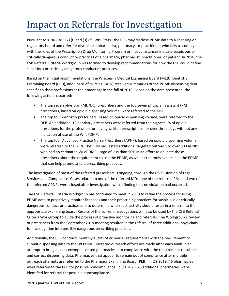## <span id="page-5-0"></span>Impact on Referrals for Investigation

Pursuant to s. 961.385 (2) (f) and (3) (c), Wis. Stats., the CSB may disclose PDMP data to a licensing or regulatory board and refer for discipline a pharmacist, pharmacy, or practitioner who fails to comply with the rules of the Prescription Drug Monitoring Program or if circumstances indicate suspicious or critically dangerous conduct or practices of a pharmacy, pharmacist, practitioner, or patient. In 2018, the CSB Referral Criteria Workgroup was formed to develop recommendations for how the CSB could define suspicious or critically dangerous conduct or practices.

Based on the initial recommendations, the Wisconsin Medical Examining Board (MEB), Dentistry Examining Board (DEB), and Board of Nursing (BON) received summaries of the PDMP dispensing data specific to their professions at their meetings in the fall of 2018. Based on the data presented, the following actions occurred:

- The top seven physician (MD/DO) prescribers and the top seven physician assistant (PA) prescribers, based on opioid dispensing volume, were referred to the MEB.
- The top four dentistry prescribers, based on opioid dispensing volume, were referred to the DEB. An additional 12 dentistry prescribers were referred from the highest 1% of opioid prescribers for the profession for having written prescriptions for over three days without any indication of use of the WI ePDMP.
- The top four Advanced Practice Nurse Prescribers (APNP), based on opioid dispensing volume, were referred to the BON. The BON requested additional targeted outreach to over 800 APNPs who had an estimated WI ePDMP usage of less than 50% in an effort to educate these prescribers about the requirement to use the PDMP, as well as the tools available in the PDMP that can help promote safe prescribing practices.

The investigation of most of the referred prescribers is ongoing, through the DSPS Division of Legal Services and Compliance. Cases related to one of the referred MDs, one of the referred PAs, and two of the referred APNPs were closed after investigation with a finding that no violation had occurred.

The CSB Referral Criteria Workgroup has continued to meet in 2019 to refine the process for using PDMP data to proactively monitor licensees and their prescribing practices for suspicious or critically dangerous conduct or practices and to determine when such activity should result in a referral to the appropriate examining board. Results of the current investigations will also be used by the CSB Referral Criteria Workgroup to guide the process of proactive monitoring and referrals. The Workgroup's review of prescribers from the September 2019 meeting resulted in the referral of three additional physicians for investigation into possibly dangerous prescribing practices.

Additionally, the CSB conducts monthly audits of dispenser requirements with the requirement to submit dispensing data to the WI PDMP. Targeted outreach efforts are made after each audit in an attempt to bring all non-exempt licensed pharmacies into compliance with the requirement to submit and correct dispensing data. Pharmacies that appear to remain out of compliance after multiple outreach attempts are referred to the Pharmacy Examining Board (PEB). In Q2 2019, 46 pharmacies were referred to the PEB for possible noncompliance. In Q1 2020, 23 additional pharmacies were identified for referral for possible noncompliance.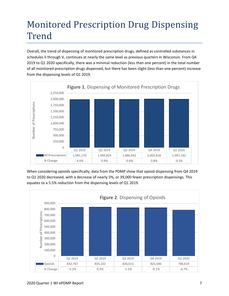## <span id="page-6-0"></span>Monitored Prescription Drug Dispensing Trend

Overall, the trend of dispensing of monitored prescription drugs, defined as controlled substances in schedules II through V, continues at nearly the same level as previous quarters in Wisconsin. From Q4 2019 to Q1 2020 specifically, there was a minimal reduction (less than one percent) in the total number of all monitored prescription drugs dispensed, but there has been slight (less than one percent) increase from the dispensing levels of Q1 2019.



When considering opioids specifically, data from the PDMP show that opioid dispensing from Q4 2019 to Q1 2020 decreased, with a decrease of nearly 5%, or 39,000 fewer prescription dispensings. This equates to a 5.5% reduction from the dispensing levels of Q1 2019.

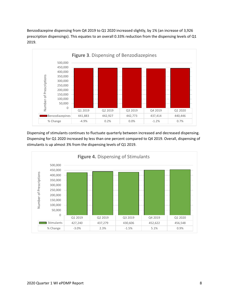Benzodiazepine dispensing from Q4 2019 to Q1 2020 increased slightly, by 1% (an increase of 3,926 prescription dispensings). This equates to an overall 0.33% reduction from the dispensing levels of Q1 2019.



Dispensing of stimulants continues to fluctuate quarterly between increased and decreased dispensing. Dispensing for Q1 2020 increased by less than one percent compared to Q4 2019. Overall, dispensing of stimulants is up almost 3% from the dispensing levels of Q1 2019.

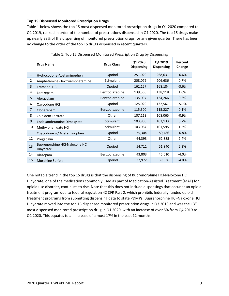#### **Top 15 Dispensed Monitored Prescription Drugs**

Table 1 below shows the top 15 most dispensed monitored prescription drugs in Q1 2020 compared to Q1 2019, ranked in order of the number of prescriptions dispensed in Q1 2020. The top 15 drugs make up nearly 88% of the dispensing of monitored prescription drugs for any given quarter. There has been no change to the order of the top 15 drugs dispensed in recent quarters.

| Table 1: Top 15 Dispensed Monitored Prescription Drug by Dispensing |                                             |                   |                              |                              |                   |  |  |
|---------------------------------------------------------------------|---------------------------------------------|-------------------|------------------------------|------------------------------|-------------------|--|--|
|                                                                     | <b>Drug Name</b>                            | <b>Drug Class</b> | Q1 2020<br><b>Dispensing</b> | Q4 2019<br><b>Dispensing</b> | Percent<br>Change |  |  |
| $\mathbf{1}$                                                        | Hydrocodone-Acetaminophen                   | Opoiod            | 251,020                      | 268,631                      | $-6.6%$           |  |  |
| 2                                                                   | Amphetamine-Dextroamphetamine               | Stimulant         | 208,079                      | 206,636                      | 0.7%              |  |  |
| 3                                                                   | <b>Tramadol HCI</b>                         | Opoiod            | 162,127                      | 168,184                      | $-3.6%$           |  |  |
| 4                                                                   | Lorazepam                                   | Benzodiazepine    | 139,566                      | 138,118                      | 1.0%              |  |  |
| 5                                                                   | Alprazolam                                  | Benzodiazepine    | 135,097                      | 134,266                      | 0.6%              |  |  |
| 6                                                                   | Oxycodone HCl                               | Opoiod            | 125,029                      | 132,567                      | $-5.7%$           |  |  |
| $\overline{7}$                                                      | Clonazepam                                  | Benzodiazepine    | 115,300                      | 115,227                      | 0.1%              |  |  |
| 8                                                                   | Zolpidem Tartrate                           | Other             | 107,113                      | 108,065                      | $-0.9%$           |  |  |
| 9                                                                   | Lisdexamfetamine Dimesylate                 | Stimulant         | 103,806                      | 103,133                      | 0.7%              |  |  |
| 10                                                                  | Methylphenidate HCl                         | Stimulant         | 103,084                      | 101,595                      | 1.5%              |  |  |
| 11                                                                  | Oxycodone w/ Acetaminophen                  | Opoiod            | 75,304                       | 80,786                       | $-6.8%$           |  |  |
| 12                                                                  | Pregabalin                                  | Other             | 64,393                       | 62,885                       | 2.4%              |  |  |
| 13                                                                  | Buprenorphine HCl-Naloxone HCl<br>Dihydrate | Opoiod            | 54,711                       | 51,940                       | 5.3%              |  |  |
| 14                                                                  | Diazepam                                    | Benzodiazepine    | 43,803                       | 45,610                       | $-4.0%$           |  |  |
| 15                                                                  | Morphine Sulfate                            | Opoiod            | 37,972                       | 39,536                       | $-4.0%$           |  |  |

One notable trend in the top 15 drugs is that the dispensing of Buprenorphine HCl-Naloxone HCl Dihydrate, one of the medications commonly used as part of Medication-Assisted Treatment (MAT) for opioid use disorder, continues to rise. Note that this does not include dispensings that occur at an opioid treatment program due to federal regulation 42 CFR Part 2, which prohibits federally funded opioid treatment programs from submitting dispensing data to state PDMPs. Buprenorphine HCl-Naloxone HCl Dihydrate moved into the top 15 dispensed monitored prescription drugs in Q3 2018 and was the 13<sup>th</sup> most dispensed monitored prescription drug in Q1 2020, with an increase of over 5% from Q4 2019 to Q1 2020. This equates to an increase of almost 17% in the past 12 months.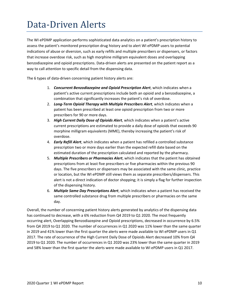### <span id="page-9-0"></span>Data-Driven Alerts

The WI ePDMP application performs sophisticated data analytics on a patient's prescription history to assess the patient's monitored prescription drug history and to alert WI ePDMP users to potential indications of abuse or diversion, such as early refills and multiple prescribers or dispensers, or factors that increase overdose risk, such as high morphine milligram equivalent doses and overlapping benzodiazepine and opioid prescriptions. Data-driven alerts are presented on the patient report as a way to call attention to specific detail from the dispensing data.

The 6 types of data-driven concerning patient history alerts are:

- 1. *Concurrent Benzodiazepine and Opioid Prescription Alert*, which indicates when a patient's active current prescriptions include both an opioid and a benzodiazepine, a combination that significantly increases the patient's risk of overdose.
- 2. *Long-Term Opioid Therapy with Multiple Prescribers Alert*, which indicates when a patient has been prescribed at least one opioid prescription from two or more prescribers for 90 or more days.
- 3. *High Current Daily Dose of Opioids Alert*, which indicates when a patient's active current prescriptions are estimated to provide a daily dose of opioids that exceeds 90 morphine milligram equivalents (MME), thereby increasing the patient's risk of overdose.
- 4. *Early Refill Alert*, which indicates when a patient has refilled a controlled substance prescription two or more days earlier than the expected refill date based on the estimated duration of the prescription calculated and reported by the pharmacy.
- 5. *Multiple Prescribers or Pharmacies Alert*, which indicates that the patient has obtained prescriptions from at least five prescribers or five pharmacies within the previous 90 days. The five prescribers or dispensers may be associated with the same clinic, practice or location, but the WI ePDMP still views them as separate prescribers/dispensers. This alert is not a direct indication of doctor shopping; it is simply a flag for further inspection of the dispensing history.
- 6. *Multiple Same Day Prescriptions Alert*, which indicates when a patient has received the same controlled substance drug from multiple prescribers or pharmacies on the same day.

Overall, the number of concerning patient history alerts generated by analytics of the dispensing data has continued to decrease, with a 6% reduction from Q4 2019 to Q1 2020. The most frequently occurring alert, Overlapping Benzodiazepine and Opioid prescriptions, decreased in occurrence by 6.5% from Q4 2019 to Q1 2020. The number of occurrences in Q1 2020 was 11% lower than the same quarter in 2019 and 41% lower than the first quarter the alerts were made available to WI ePDMP users in Q1 2017. The rate of occurrence of the High Current Daily Dose of Opioids Alert decreased 10% from Q4 2019 to Q1 2020. The number of occurrences in Q1 2020 was 23% lower than the same quarter in 2019 and 58% lower than the first quarter the alerts were made available to WI ePDMP users in Q1 2017.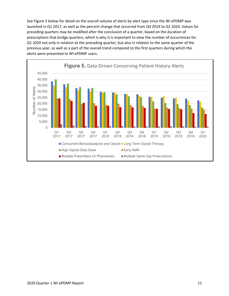See Figure 5 below for detail on the overall volume of alerts by alert type since the WI ePDMP was launched in Q1 2017, as well as the percent change that occurred from Q4 2019 to Q1 2020. Values for preceding quarters may be modified after the conclusion of a quarter, based on the duration of prescriptions that bridge quarters, which is why it is important to view the number of occurrences for Q1 2020 not only in relation to the preceding quarter, but also in relation to the same quarter of the previous year, as well as a part of the overall trend compared to the first quarters during which the alerts were presented to WI ePDMP users.

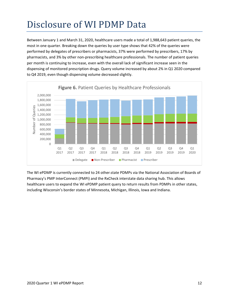# <span id="page-11-0"></span>Disclosure of WI PDMP Data

Between January 1 and March 31, 2020, healthcare users made a total of 1,988,643 patient queries, the most in one quarter. Breaking down the queries by user type shows that 42% of the queries were performed by delegates of prescribers or pharmacists, 37% were performed by prescribers, 17% by pharmacists, and 3% by other non-prescribing healthcare professionals. The number of patient queries per month is continuing to increase, even with the overall lack of significant increase seen in the dispensing of monitored prescription drugs. Query volume increased by about 2% in Q1 2020 compared to Q4 2019, even though dispensing volume decreased slightly.



The WI ePDMP is currently connected to 24 other state PDMPs via the National Association of Boards of Pharmacy's PMP InterConnect (PMPi) and the RxCheck interstate data sharing hub. This allows healthcare users to expand the WI ePDMP patient query to return results from PDMPs in other states, including Wisconsin's border states of Minnesota, Michigan, Illinois, Iowa and Indiana.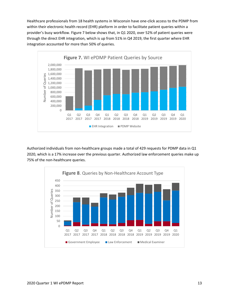Healthcare professionals from 18 health systems in Wisconsin have one-click access to the PDMP from within their electronic health record (EHR) platform in order to facilitate patient queries within a provider's busy workflow. Figure 7 below shows that, in Q1 2020, over 52% of patient queries were through the direct EHR integration, which is up from 51% in Q4 2019, the first quarter where EHR integration accounted for more than 50% of queries.



Authorized individuals from non-healthcare groups made a total of 429 requests for PDMP data in Q1 2020, which is a 17% increase over the previous quarter. Authorized law enforcement queries make up 75% of the non-healthcare queries.

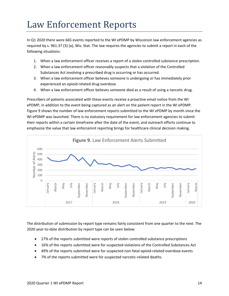#### <span id="page-13-0"></span>Law Enforcement Reports

In Q1 2020 there were 665 events reported to the WI ePDMP by Wisconsin law enforcement agencies as required by s. [961.37 \(3\) \(a\),](https://docs.legis.wisconsin.gov/document/statutes/961.37(3)(a)) Wis. Stat. The law requires the agencies to submit a report in each of the following situations:

- 1. When a law enforcement officer receives a report of a stolen controlled substance prescription.
- 2. When a law enforcement officer reasonably suspects that a violation of the Controlled Substances Act involving a prescribed drug is occurring or has occurred.
- 3. When a law enforcement officer believes someone is undergoing or has immediately prior experienced an opioid-related drug overdose.
- 4. When a law enforcement officer believes someone died as a result of using a narcotic drug.

Prescribers of patients associated with these events receive a proactive email notice from the WI ePDMP, in addition to the event being captured as an alert on the patient report in the WI ePDMP. Figure 9 shows the number of law enforcement reports submitted to the WI ePDMP by month since the WI ePDMP was launched. There is no statutory requirement for law enforcement agencies to submit their reports within a certain timeframe after the date of the event, and outreach efforts continue to emphasize the value that law enforcemnt reporting brings for healthcare clinical decision making.



The distribution of submission by report type remains fairly consistent from one quarter to the next. The 2020 year-to-date distribution by report type can be seen below:

- 27% of the reports submitted were reports of stolen controlled substance prescriptions
- 16% of the reports submitted were for suspected violations of the Controlled Substances Act
- 49% of the reports submitted were for suspected non-fatal opioid-related overdose events
- 7% of the reports submitted were for suspected narcotic-related deaths.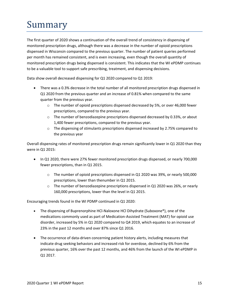# <span id="page-14-0"></span>Summary

The first quarter of 2020 shows a continuation of the overall trend of consistency in dispensing of monitored prescription drugs, although there was a decrease in the number of opioid prescriptions dispensed in Wisconsin compared to the previous quarter. The number of patient queries performed per month has remained consistent, and is even increasing, even though the overall quantity of monitored prescription drugs being dispensed is consistent. This indicates that the WI ePDMP continues to be a valuable tool to support safe prescribing, treatment, and dispensing decisions.

Data show overall decreased dispensing for Q1 2020 compared to Q1 2019:

- There was a 0.3% decrease in the total number of all monitored prescription drugs dispensed in Q1 2020 from the previous quarter and an increase of 0.81% when compared to the same quarter from the previous year.
	- $\circ$  The number of opioid prescriptions dispensed decreased by 5%, or over 46,000 fewer prescriptions, compared to the previous year.
	- $\circ$  The number of benzodiazepine prescriptions dispensed decreased by 0.33%, or about 1,400 fewer prescriptions, compared to the previous year.
	- $\circ$  The dispensing of stimulants prescriptions dispensed increased by 2.75% compared to the previous year

Overall dispensing rates of monitored prescription drugs remain significantly lower in Q1 2020 than they were in Q1 2015:

- In Q1 2020, there were 27% fewer monitored prescription drugs dispensed, or nearly 700,000 fewer prescriptions, than in Q1 2015.
	- $\circ$  The number of opioid prescriptions dispensed in Q1 2020 was 39%, or nearly 500,000 prescriptions, lower than thenumber in Q1 2015.
	- $\circ$  The number of benzodiazepine prescriptions dispensed in Q1 2020 was 26%, or nearly 160,000 prescriptions, lower than the level in Q1 2015.

Encouraging trends found in the WI PDMP continued in Q1 2020:

- The dispensing of Buprenorphine HCl-Naloxone HCl Dihydrate (Suboxone®), one of the medications commonly used as part of Medication-Assisted Treatment (MAT) for opioid use disorder, increased by 5% in Q1 2020 compared to Q4 2019, which equates to an increase of 23% in the past 12 months and over 87% since Q1 2016.
- The occurrence of data-driven concerning patient history alerts, including measures that indicate drug seeking behaviors and increased risk for overdose, declined by 6% from the previous quarter, 16% over the past 12 months, and 46% from the launch of the WI ePDMP in Q1 2017.